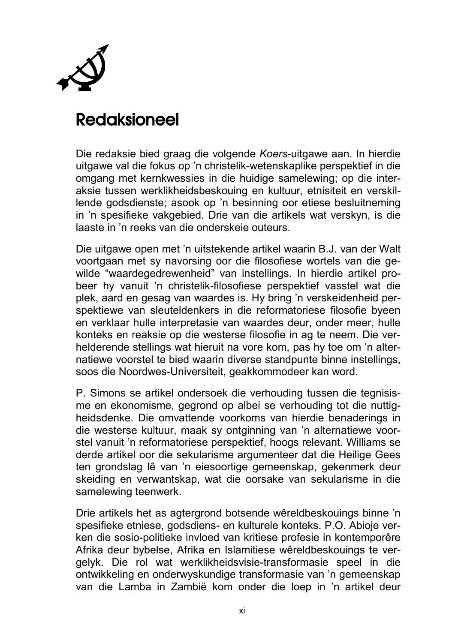

## Redaksioneel

Die redaksie bied graag die volgende *Koers*-uitgawe aan. In hierdie uitgawe val die fokus op 'n christelik-wetenskaplike perspektief in die omgang met kernkwessies in die huidige samelewing; op die interaksie tussen werklikheidsbeskouing en kultuur, etnisiteit en verskillende godsdienste; asook op 'n besinning oor etiese besluitneming in 'n spesifieke vakgebied. Drie van die artikels wat verskyn, is die laaste in 'n reeks van die onderskeie outeurs.

Die uitgawe open met 'n uitstekende artikel waarin B.J. van der Walt voortgaan met sy navorsing oor die filosofiese wortels van die gewilde "waardegedrewenheid" van instellings. In hierdie artikel probeer hy vanuit 'n christelik-filosofiese perspektief vasstel wat die plek, aard en gesag van waardes is. Hy bring 'n verskeidenheid perspektiewe van sleuteldenkers in die reformatoriese filosofie byeen en verklaar hulle interpretasie van waardes deur, onder meer, hulle konteks en reaksie op die westerse filosofie in ag te neem. Die verhelderende stellings wat hieruit na vore kom, pas hy toe om 'n alternatiewe voorstel te bied waarin diverse standpunte binne instellings, soos die Noordwes-Universiteit, geakkommodeer kan word.

P. Simons se artikel ondersoek die verhouding tussen die tegnisisme en ekonomisme, gegrond op albei se verhouding tot die nuttigheidsdenke. Die omvattende voorkoms van hierdie benaderings in die westerse kultuur, maak sy ontginning van 'n alternatiewe voorstel vanuit 'n reformatoriese perspektief, hoogs relevant. Williams se derde artikel oor die sekularisme argumenteer dat die Heilige Gees ten grondslag lê van 'n eiesoortige gemeenskap, gekenmerk deur skeiding en verwantskap, wat die oorsake van sekularisme in die samelewing teenwerk.

Drie artikels het as agtergrond botsende wêreldbeskouings binne 'n spesifieke etniese, godsdiens- en kulturele konteks. P.O. Abioje verken die sosio-politieke invloed van kritiese profesie in kontemporêre Afrika deur bybelse, Afrika en Islamitiese wêreldbeskouings te vergelyk. Die rol wat werklikheidsvisie-transformasie speel in die ontwikkeling en onderwyskundige transformasie van 'n gemeenskap van die Lamba in Zambië kom onder die loep in 'n artikel deur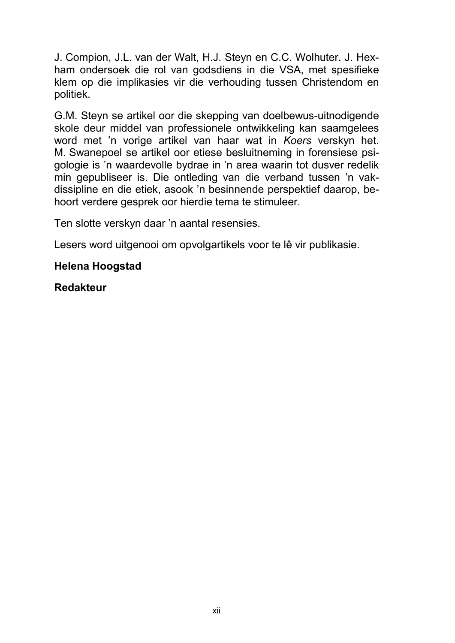J. Compion, J.L. van der Walt, H.J. Steyn en C.C. Wolhuter. J. Hexham ondersoek die rol van godsdiens in die VSA, met spesifieke klem op die implikasies vir die verhouding tussen Christendom en politiek.

G.M. Steyn se artikel oor die skepping van doelbewus-uitnodigende skole deur middel van professionele ontwikkeling kan saamgelees word met 'n vorige artikel van haar wat in *Koers* verskyn het. M. Swanepoel se artikel oor etiese besluitneming in forensiese psigologie is 'n waardevolle bydrae in 'n area waarin tot dusver redelik min gepubliseer is. Die ontleding van die verband tussen 'n vakdissipline en die etiek, asook 'n besinnende perspektief daarop, behoort verdere gesprek oor hierdie tema te stimuleer.

Ten slotte verskyn daar 'n aantal resensies.

Lesers word uitgenooi om opvolgartikels voor te lê vir publikasie.

### **Helena Hoogstad**

### **Redakteur**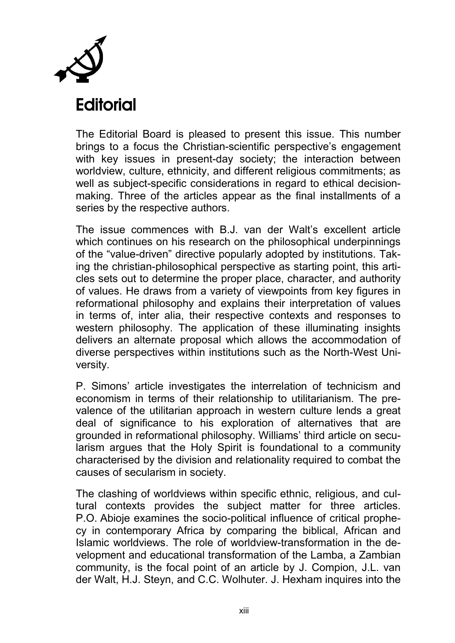

# **Editorial**

The Editorial Board is pleased to present this issue. This number brings to a focus the Christian-scientific perspective's engagement with key issues in present-day society; the interaction between worldview, culture, ethnicity, and different religious commitments; as well as subject-specific considerations in regard to ethical decisionmaking. Three of the articles appear as the final installments of a series by the respective authors.

The issue commences with B.J. van der Walt's excellent article which continues on his research on the philosophical underpinnings of the "value-driven" directive popularly adopted by institutions. Taking the christian-philosophical perspective as starting point, this articles sets out to determine the proper place, character, and authority of values. He draws from a variety of viewpoints from key figures in reformational philosophy and explains their interpretation of values in terms of, inter alia, their respective contexts and responses to western philosophy. The application of these illuminating insights delivers an alternate proposal which allows the accommodation of diverse perspectives within institutions such as the North-West University.

P. Simons' article investigates the interrelation of technicism and economism in terms of their relationship to utilitarianism. The prevalence of the utilitarian approach in western culture lends a great deal of significance to his exploration of alternatives that are grounded in reformational philosophy. Williams' third article on secularism argues that the Holy Spirit is foundational to a community characterised by the division and relationality required to combat the causes of secularism in society.

The clashing of worldviews within specific ethnic, religious, and cultural contexts provides the subject matter for three articles. P.O. Abioje examines the socio-political influence of critical prophecy in contemporary Africa by comparing the biblical, African and Islamic worldviews. The role of worldview-transformation in the development and educational transformation of the Lamba, a Zambian community, is the focal point of an article by J. Compion, J.L. van der Walt, H.J. Steyn, and C.C. Wolhuter. J. Hexham inquires into the